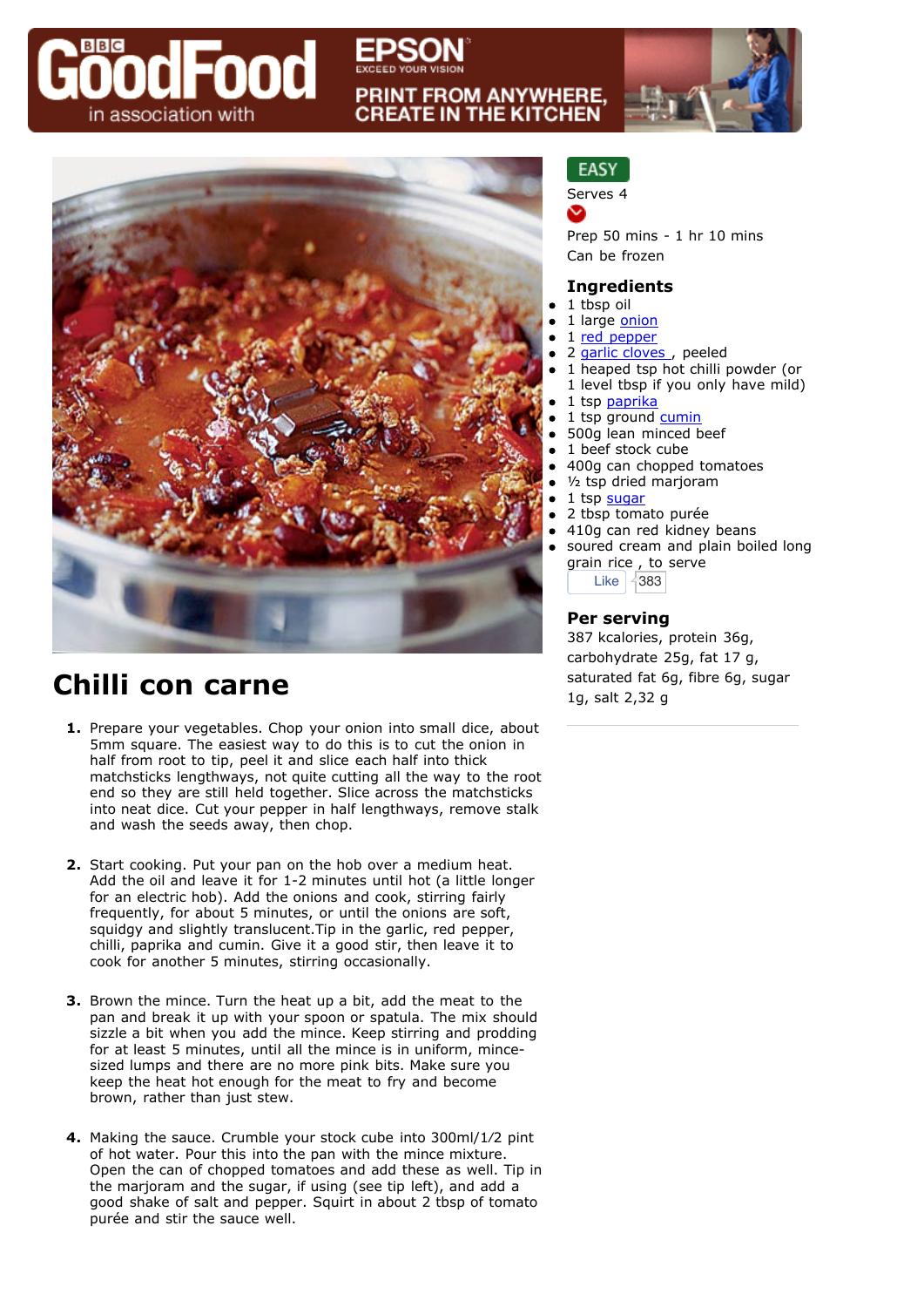# Food in association with

# **PRINT FROM ANYWHERE. CREATE IN THE KITCHEN**



## **Chilli con carne**

- **1.** Prepare your vegetables. Chop your onion into small dice, about 5mm square. The easiest way to do this is to cut the onion in half from root to tip, peel it and slice each half into thick matchsticks lengthways, not quite cutting all the way to the root end so they are still held together. Slice across the matchsticks into neat dice. Cut your pepper in half lengthways, remove stalk and wash the seeds away, then chop.
- **2.** Start cooking. Put your pan on the hob over a medium heat. Add the oil and leave it for 1-2 minutes until hot (a little longer for an electric hob). Add the onions and cook, stirring fairly frequently, for about 5 minutes, or until the onions are soft, squidgy and slightly translucent.Tip in the garlic, red pepper, chilli, paprika and cumin. Give it a good stir, then leave it to cook for another 5 minutes, stirring occasionally.
- **3.** Brown the mince. Turn the heat up a bit, add the meat to the pan and break it up with your spoon or spatula. The mix should sizzle a bit when you add the mince. Keep stirring and prodding for at least 5 minutes, until all the mince is in uniform, mincesized lumps and there are no more pink bits. Make sure you keep the heat hot enough for the meat to fry and become brown, rather than just stew.
- **4.** Making the sauce. Crumble your stock cube into 300ml/1⁄2 pint of hot water. Pour this into the pan with the mince mixture. Open the can of chopped tomatoes and add these as well. Tip in the marjoram and the sugar, if using (see tip left), and add a good shake of salt and pepper. Squirt in about 2 tbsp of tomato purée and stir the sauce well.

### **EASY**

Serves 4

v

Prep 50 mins - 1 hr 10 mins Can be frozen

#### **Ingredients**

- 1 tbsp oil
- 1 large [onion](http://www.bbcgoodfood.com/content/knowhow/glossary/onion/)
- 1 [red pepper](http://www.bbcgoodfood.com/content/knowhow/glossary/pepper/)
- 2 garlic cloves, peeled
- 1 heaped tsp hot chilli powder (or 1 level tbsp if you only have mild)
- 1 tsp [paprika](http://www.bbcgoodfood.com/content/knowhow/glossary/paprika/)
- 1 tsp ground [cumin](http://www.bbcgoodfood.com/content/knowhow/glossary/cumin/)
- 500g lean minced beef
- 1 beef stock cube
- 400g can chopped tomatoes
- ½ tsp dried marjoram
- 1 tsp [sugar](http://www.bbcgoodfood.com/content/knowhow/glossary/sugar/)
- 2 tbsp tomato purée
- 410g can red kidney beans
- soured cream and plain boiled long grain rice , to serve Like  $\sqrt{383}$

**Per serving**

387 kcalories, protein 36g, carbohydrate 25g, fat 17 g, saturated fat 6g, fibre 6g, sugar 1g, salt 2,32 g